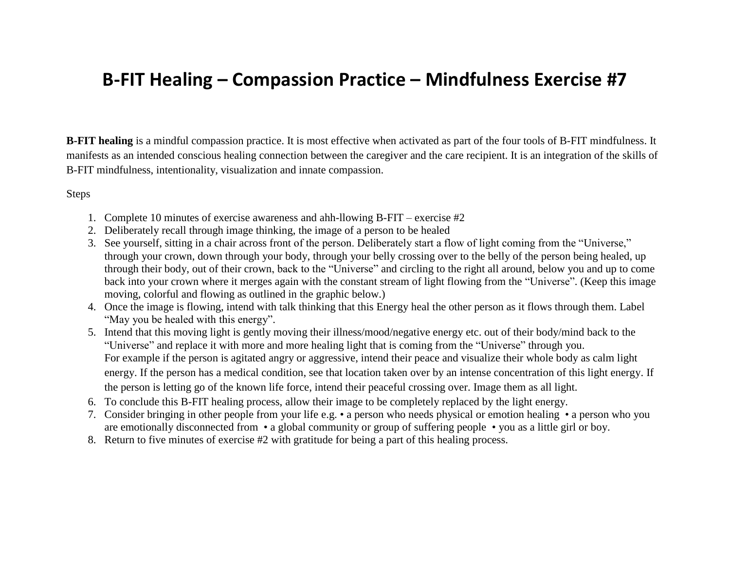## **B-FIT Healing – Compassion Practice – Mindfulness Exercise #7**

**B-FIT healing** is a mindful compassion practice. It is most effective when activated as part of the four tools of B-FIT mindfulness. It manifests as an intended conscious healing connection between the caregiver and the care recipient. It is an integration of the skills of B-FIT mindfulness, intentionality, visualization and innate compassion.

Steps

- 1. Complete 10 minutes of exercise awareness and ahh-llowing B-FIT exercise #2
- 2. Deliberately recall through image thinking, the image of a person to be healed
- 3. See yourself, sitting in a chair across front of the person. Deliberately start a flow of light coming from the "Universe," through your crown, down through your body, through your belly crossing over to the belly of the person being healed, up through their body, out of their crown, back to the "Universe" and circling to the right all around, below you and up to come back into your crown where it merges again with the constant stream of light flowing from the "Universe". (Keep this image moving, colorful and flowing as outlined in the graphic below.)
- 4. Once the image is flowing, intend with talk thinking that this Energy heal the other person as it flows through them. Label "May you be healed with this energy".
- 5. Intend that this moving light is gently moving their illness/mood/negative energy etc. out of their body/mind back to the "Universe" and replace it with more and more healing light that is coming from the "Universe" through you. For example if the person is agitated angry or aggressive, intend their peace and visualize their whole body as calm light energy. If the person has a medical condition, see that location taken over by an intense concentration of this light energy. If the person is letting go of the known life force, intend their peaceful crossing over. Image them as all light.
- 6. To conclude this B-FIT healing process, allow their image to be completely replaced by the light energy.
- 7. Consider bringing in other people from your life e.g. a person who needs physical or emotion healing a person who you are emotionally disconnected from • a global community or group of suffering people • you as a little girl or boy.
- 8. Return to five minutes of exercise #2 with gratitude for being a part of this healing process.